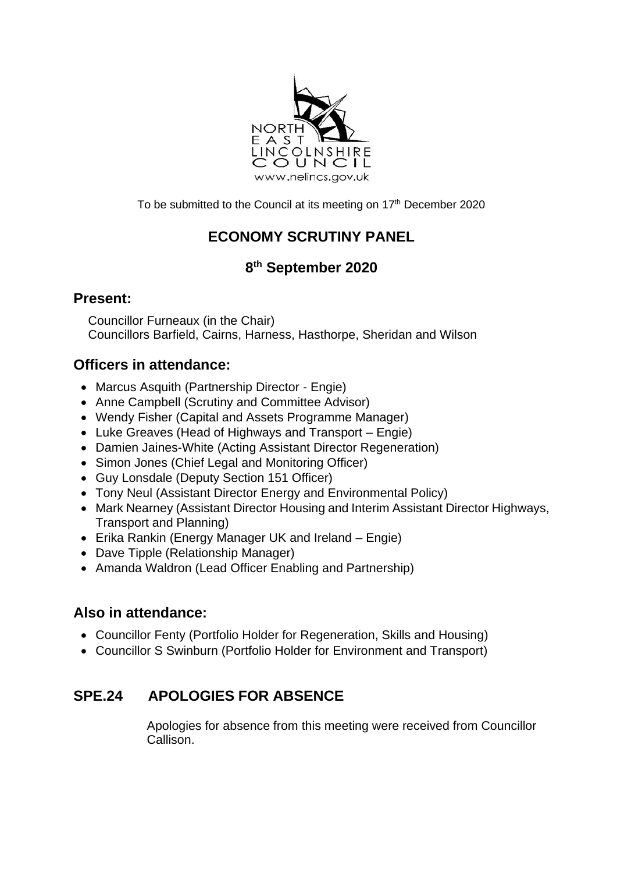

To be submitted to the Council at its meeting on 17<sup>th</sup> December 2020

# **ECONOMY SCRUTINY PANEL**

## **8 th September 2020**

### **Present:**

Councillor Furneaux (in the Chair) Councillors Barfield, Cairns, Harness, Hasthorpe, Sheridan and Wilson

## **Officers in attendance:**

- Marcus Asquith (Partnership Director Engie)
- Anne Campbell (Scrutiny and Committee Advisor)
- Wendy Fisher (Capital and Assets Programme Manager)
- Luke Greaves (Head of Highways and Transport Engie)
- Damien Jaines-White (Acting Assistant Director Regeneration)
- Simon Jones (Chief Legal and Monitoring Officer)
- Guy Lonsdale (Deputy Section 151 Officer)
- Tony Neul (Assistant Director Energy and Environmental Policy)
- Mark Nearney (Assistant Director Housing and Interim Assistant Director Highways, Transport and Planning)
- Erika Rankin (Energy Manager UK and Ireland Engie)
- Dave Tipple (Relationship Manager)
- Amanda Waldron (Lead Officer Enabling and Partnership)

## **Also in attendance:**

- Councillor Fenty (Portfolio Holder for Regeneration, Skills and Housing)
- Councillor S Swinburn (Portfolio Holder for Environment and Transport)

## **SPE.24 APOLOGIES FOR ABSENCE**

Apologies for absence from this meeting were received from Councillor Callison.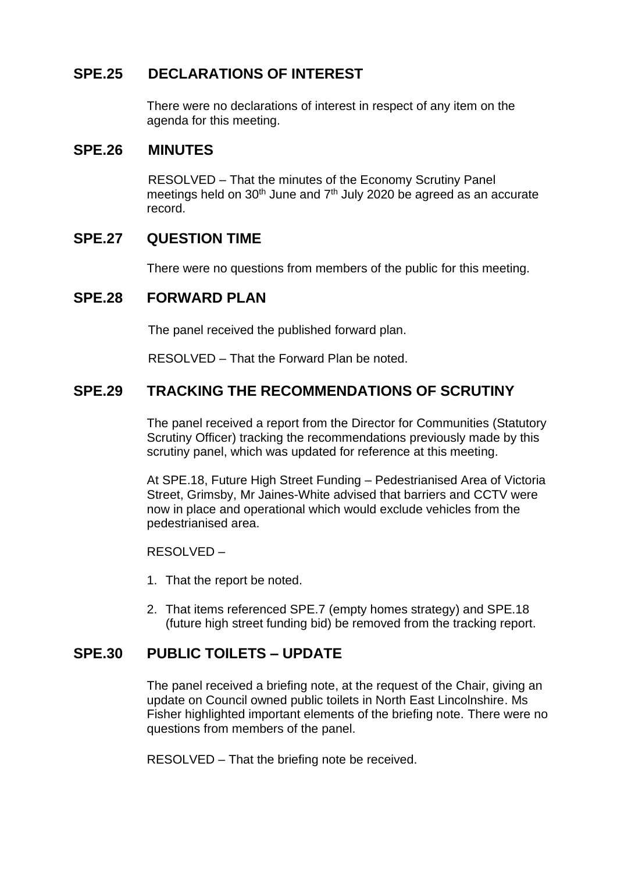## **SPE.25 DECLARATIONS OF INTEREST**

There were no declarations of interest in respect of any item on the agenda for this meeting.

#### **SPE.26 MINUTES**

RESOLVED – That the minutes of the Economy Scrutiny Panel meetings held on  $30<sup>th</sup>$  June and  $7<sup>th</sup>$  July 2020 be agreed as an accurate record.

#### **SPE.27 QUESTION TIME**

There were no questions from members of the public for this meeting.

#### **SPE.28 FORWARD PLAN**

The panel received the published forward plan.

RESOLVED – That the Forward Plan be noted.

#### **SPE.29 TRACKING THE RECOMMENDATIONS OF SCRUTINY**

The panel received a report from the Director for Communities (Statutory Scrutiny Officer) tracking the recommendations previously made by this scrutiny panel, which was updated for reference at this meeting.

At SPE.18, Future High Street Funding – Pedestrianised Area of Victoria Street, Grimsby, Mr Jaines-White advised that barriers and CCTV were now in place and operational which would exclude vehicles from the pedestrianised area.

RESOLVED –

- 1. That the report be noted.
- 2. That items referenced SPE.7 (empty homes strategy) and SPE.18 (future high street funding bid) be removed from the tracking report.

#### **SPE.30 PUBLIC TOILETS – UPDATE**

The panel received a briefing note, at the request of the Chair, giving an update on Council owned public toilets in North East Lincolnshire. Ms Fisher highlighted important elements of the briefing note. There were no questions from members of the panel.

RESOLVED – That the briefing note be received.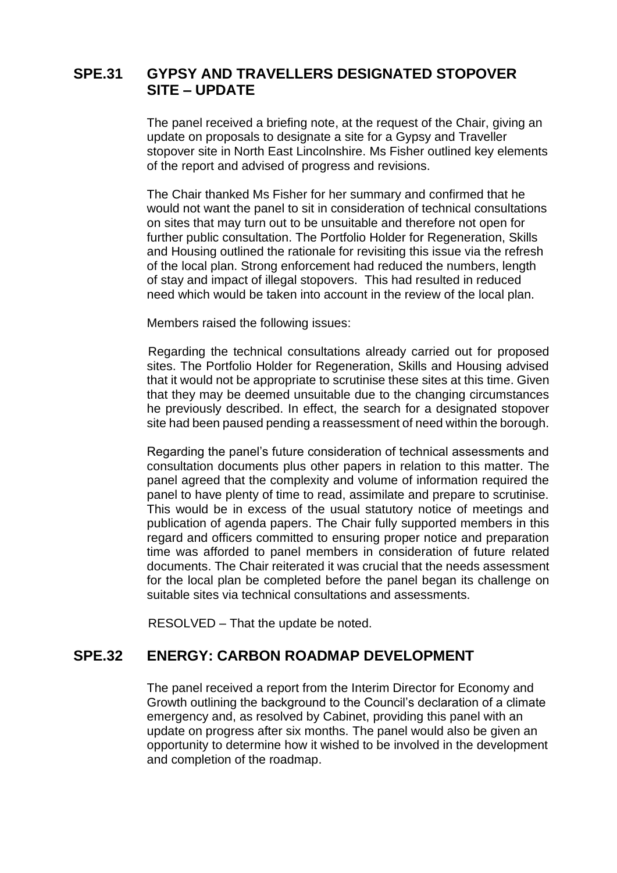## **SPE.31 GYPSY AND TRAVELLERS DESIGNATED STOPOVER SITE – UPDATE**

The panel received a briefing note, at the request of the Chair, giving an update on proposals to designate a site for a Gypsy and Traveller stopover site in North East Lincolnshire. Ms Fisher outlined key elements of the report and advised of progress and revisions.

The Chair thanked Ms Fisher for her summary and confirmed that he would not want the panel to sit in consideration of technical consultations on sites that may turn out to be unsuitable and therefore not open for further public consultation. The Portfolio Holder for Regeneration, Skills and Housing outlined the rationale for revisiting this issue via the refresh of the local plan. Strong enforcement had reduced the numbers, length of stay and impact of illegal stopovers. This had resulted in reduced need which would be taken into account in the review of the local plan.

Members raised the following issues:

Regarding the technical consultations already carried out for proposed sites. The Portfolio Holder for Regeneration, Skills and Housing advised that it would not be appropriate to scrutinise these sites at this time. Given that they may be deemed unsuitable due to the changing circumstances he previously described. In effect, the search for a designated stopover site had been paused pending a reassessment of need within the borough.

Regarding the panel's future consideration of technical assessments and consultation documents plus other papers in relation to this matter. The panel agreed that the complexity and volume of information required the panel to have plenty of time to read, assimilate and prepare to scrutinise. This would be in excess of the usual statutory notice of meetings and publication of agenda papers. The Chair fully supported members in this regard and officers committed to ensuring proper notice and preparation time was afforded to panel members in consideration of future related documents. The Chair reiterated it was crucial that the needs assessment for the local plan be completed before the panel began its challenge on suitable sites via technical consultations and assessments.

RESOLVED – That the update be noted.

#### **SPE.32 ENERGY: CARBON ROADMAP DEVELOPMENT**

The panel received a report from the Interim Director for Economy and Growth outlining the background to the Council's declaration of a climate emergency and, as resolved by Cabinet, providing this panel with an update on progress after six months. The panel would also be given an opportunity to determine how it wished to be involved in the development and completion of the roadmap.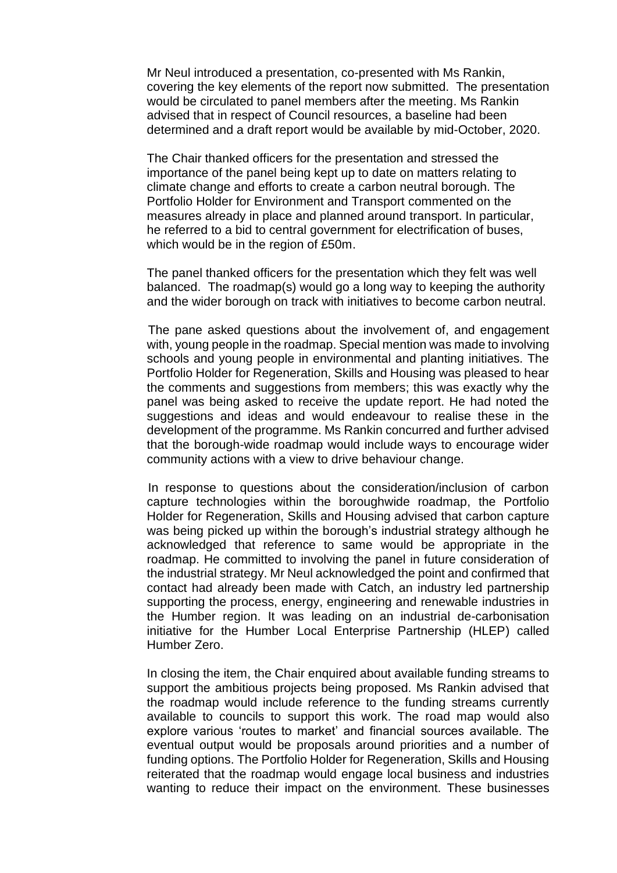Mr Neul introduced a presentation, co-presented with Ms Rankin, covering the key elements of the report now submitted. The presentation would be circulated to panel members after the meeting. Ms Rankin advised that in respect of Council resources, a baseline had been determined and a draft report would be available by mid-October, 2020.

The Chair thanked officers for the presentation and stressed the importance of the panel being kept up to date on matters relating to climate change and efforts to create a carbon neutral borough. The Portfolio Holder for Environment and Transport commented on the measures already in place and planned around transport. In particular, he referred to a bid to central government for electrification of buses, which would be in the region of £50m.

The panel thanked officers for the presentation which they felt was well balanced. The roadmap(s) would go a long way to keeping the authority and the wider borough on track with initiatives to become carbon neutral.

The pane asked questions about the involvement of, and engagement with, young people in the roadmap. Special mention was made to involving schools and young people in environmental and planting initiatives. The Portfolio Holder for Regeneration, Skills and Housing was pleased to hear the comments and suggestions from members; this was exactly why the panel was being asked to receive the update report. He had noted the suggestions and ideas and would endeavour to realise these in the development of the programme. Ms Rankin concurred and further advised that the borough-wide roadmap would include ways to encourage wider community actions with a view to drive behaviour change.

In response to questions about the consideration/inclusion of carbon capture technologies within the boroughwide roadmap, the Portfolio Holder for Regeneration, Skills and Housing advised that carbon capture was being picked up within the borough's industrial strategy although he acknowledged that reference to same would be appropriate in the roadmap. He committed to involving the panel in future consideration of the industrial strategy. Mr Neul acknowledged the point and confirmed that contact had already been made with Catch, an industry led partnership supporting the process, energy, engineering and renewable industries in the Humber region. It was leading on an industrial de-carbonisation initiative for the Humber Local Enterprise Partnership (HLEP) called Humber Zero.

In closing the item, the Chair enquired about available funding streams to support the ambitious projects being proposed. Ms Rankin advised that the roadmap would include reference to the funding streams currently available to councils to support this work. The road map would also explore various 'routes to market' and financial sources available. The eventual output would be proposals around priorities and a number of funding options. The Portfolio Holder for Regeneration, Skills and Housing reiterated that the roadmap would engage local business and industries wanting to reduce their impact on the environment. These businesses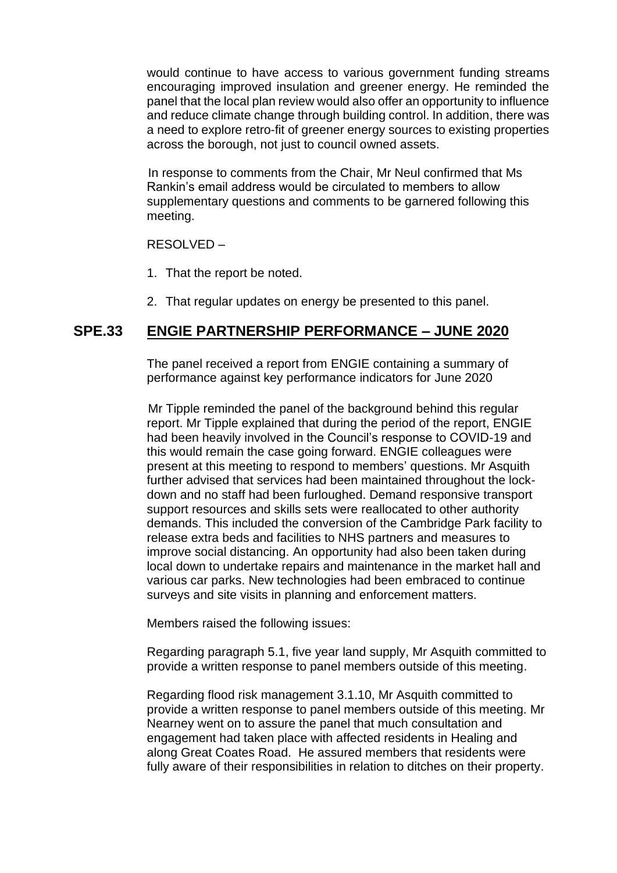would continue to have access to various government funding streams encouraging improved insulation and greener energy. He reminded the panel that the local plan review would also offer an opportunity to influence and reduce climate change through building control. In addition, there was a need to explore retro-fit of greener energy sources to existing properties across the borough, not just to council owned assets.

In response to comments from the Chair, Mr Neul confirmed that Ms Rankin's email address would be circulated to members to allow supplementary questions and comments to be garnered following this meeting.

RESOLVED –

- 1. That the report be noted.
- 2. That regular updates on energy be presented to this panel.

#### **SPE.33 ENGIE PARTNERSHIP PERFORMANCE – JUNE 2020**

The panel received a report from ENGIE containing a summary of performance against key performance indicators for June 2020

Mr Tipple reminded the panel of the background behind this regular report. Mr Tipple explained that during the period of the report, ENGIE had been heavily involved in the Council's response to COVID-19 and this would remain the case going forward. ENGIE colleagues were present at this meeting to respond to members' questions. Mr Asquith further advised that services had been maintained throughout the lockdown and no staff had been furloughed. Demand responsive transport support resources and skills sets were reallocated to other authority demands. This included the conversion of the Cambridge Park facility to release extra beds and facilities to NHS partners and measures to improve social distancing. An opportunity had also been taken during local down to undertake repairs and maintenance in the market hall and various car parks. New technologies had been embraced to continue surveys and site visits in planning and enforcement matters.

Members raised the following issues:

Regarding paragraph 5.1, five year land supply, Mr Asquith committed to provide a written response to panel members outside of this meeting.

Regarding flood risk management 3.1.10, Mr Asquith committed to provide a written response to panel members outside of this meeting. Mr Nearney went on to assure the panel that much consultation and engagement had taken place with affected residents in Healing and along Great Coates Road. He assured members that residents were fully aware of their responsibilities in relation to ditches on their property.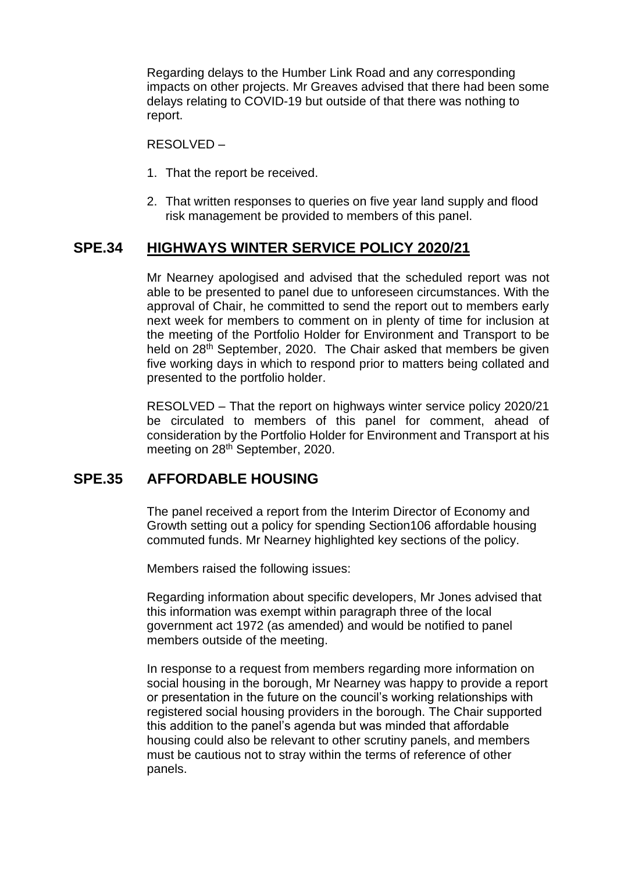Regarding delays to the Humber Link Road and any corresponding impacts on other projects. Mr Greaves advised that there had been some delays relating to COVID-19 but outside of that there was nothing to report.

RESOLVED –

- 1. That the report be received.
- 2. That written responses to queries on five year land supply and flood risk management be provided to members of this panel.

### **SPE.34 HIGHWAYS WINTER SERVICE POLICY 2020/21**

Mr Nearney apologised and advised that the scheduled report was not able to be presented to panel due to unforeseen circumstances. With the approval of Chair, he committed to send the report out to members early next week for members to comment on in plenty of time for inclusion at the meeting of the Portfolio Holder for Environment and Transport to be held on 28<sup>th</sup> September, 2020. The Chair asked that members be given five working days in which to respond prior to matters being collated and presented to the portfolio holder.

RESOLVED – That the report on highways winter service policy 2020/21 be circulated to members of this panel for comment, ahead of consideration by the Portfolio Holder for Environment and Transport at his meeting on 28<sup>th</sup> September, 2020.

#### **SPE.35 AFFORDABLE HOUSING**

The panel received a report from the Interim Director of Economy and Growth setting out a policy for spending Section106 affordable housing commuted funds. Mr Nearney highlighted key sections of the policy.

Members raised the following issues:

Regarding information about specific developers, Mr Jones advised that this information was exempt within paragraph three of the local government act 1972 (as amended) and would be notified to panel members outside of the meeting.

In response to a request from members regarding more information on social housing in the borough, Mr Nearney was happy to provide a report or presentation in the future on the council's working relationships with registered social housing providers in the borough. The Chair supported this addition to the panel's agenda but was minded that affordable housing could also be relevant to other scrutiny panels, and members must be cautious not to stray within the terms of reference of other panels.